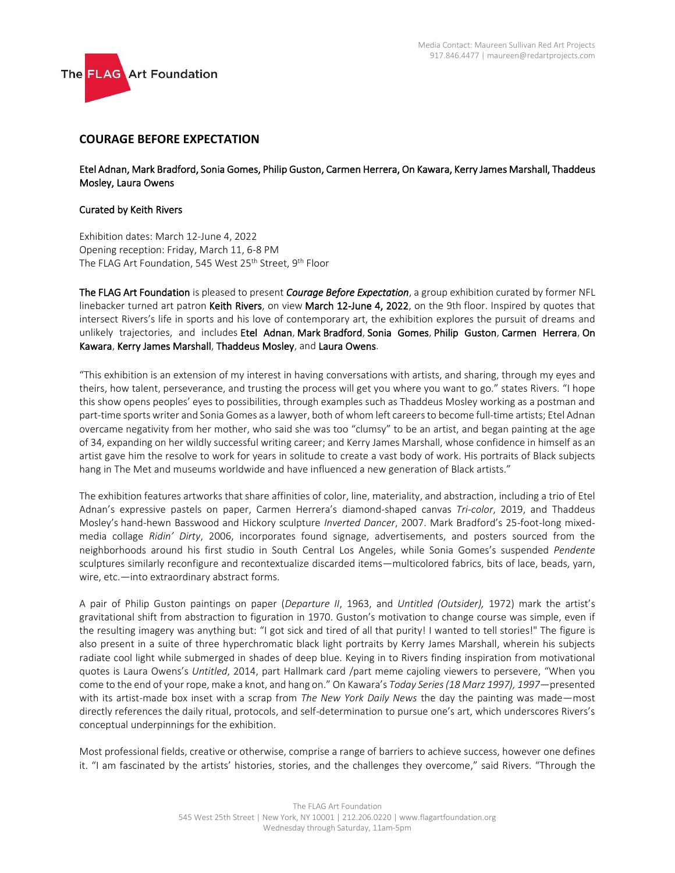

## **COURAGE BEFORE EXPECTATION**

Etel Adnan, Mark Bradford, Sonia Gomes, Philip Guston, Carmen Herrera, On Kawara, Kerry James Marshall, Thaddeus Mosley, Laura Owens

## Curated by Keith Rivers

Exhibition dates: March 12-June 4, 2022 Opening reception: Friday, March 11, 6-8 PM The FLAG Art Foundation, 545 West 25<sup>th</sup> Street, 9<sup>th</sup> Floor

The FLAG Art Foundation is pleased to present *Courage Before Expectation*, a group exhibition curated by former NFL linebacker turned art patron Keith Rivers, on view March 12-June 4, 2022, on the 9th floor. Inspired by quotes that intersect Rivers's life in sports and his love of contemporary art, the exhibition explores the pursuit of dreams and unlikely trajectories, and includes Etel Adnan, Mark Bradford, Sonia Gomes, Philip Guston, Carmen Herrera, On Kawara, Kerry James Marshall, Thaddeus Mosley, and Laura Owens.

"This exhibition is an extension of my interest in having conversations with artists, and sharing, through my eyes and theirs, how talent, perseverance, and trusting the process will get you where you want to go." states Rivers. "I hope this show opens peoples' eyes to possibilities, through examples such as Thaddeus Mosley working as a postman and part-time sports writer and Sonia Gomes as a lawyer, both of whom left careers to become full-time artists; Etel Adnan overcame negativity from her mother, who said she was too "clumsy" to be an artist, and began painting at the age of 34, expanding on her wildly successful writing career; and Kerry James Marshall, whose confidence in himself as an artist gave him the resolve to work for years in solitude to create a vast body of work. His portraits of Black subjects hang in The Met and museums worldwide and have influenced a new generation of Black artists."

The exhibition features artworks that share affinities of color, line, materiality, and abstraction, including a trio of Etel Adnan's expressive pastels on paper, Carmen Herrera's diamond-shaped canvas *Tri-color*, 2019, and Thaddeus Mosley's hand-hewn Basswood and Hickory sculpture *Inverted Dancer*, 2007. Mark Bradford's 25-foot-long mixedmedia collage *Ridin' Dirty*, 2006, incorporates found signage, advertisements, and posters sourced from the neighborhoods around his first studio in South Central Los Angeles, while Sonia Gomes's suspended *Pendente* sculptures similarly reconfigure and recontextualize discarded items—multicolored fabrics, bits of lace, beads, yarn, wire, etc.—into extraordinary abstract forms.

A pair of Philip Guston paintings on paper (*Departure II*, 1963, and *Untitled (Outsider),* 1972) mark the artist's gravitational shift from abstraction to figuration in 1970. Guston's motivation to change course was simple, even if the resulting imagery was anything but: "I got sick and tired of all that purity! I wanted to tell stories!" The figure is also present in a suite of three hyperchromatic black light portraits by Kerry James Marshall, wherein his subjects radiate cool light while submerged in shades of deep blue. Keying in to Rivers finding inspiration from motivational quotes is Laura Owens's *Untitled*, 2014, part Hallmark card /part meme cajoling viewers to persevere, "When you come to the end of your rope, make a knot, and hang on." On Kawara's *Today Series (18 Marz 1997), 1997*—presented with its artist-made box inset with a scrap from *The New York Daily News* the day the painting was made—most directly references the daily ritual, protocols, and self-determination to pursue one's art, which underscores Rivers's conceptual underpinnings for the exhibition.

Most professional fields, creative or otherwise, comprise a range of barriers to achieve success, however one defines it. "I am fascinated by the artists' histories, stories, and the challenges they overcome," said Rivers. "Through the